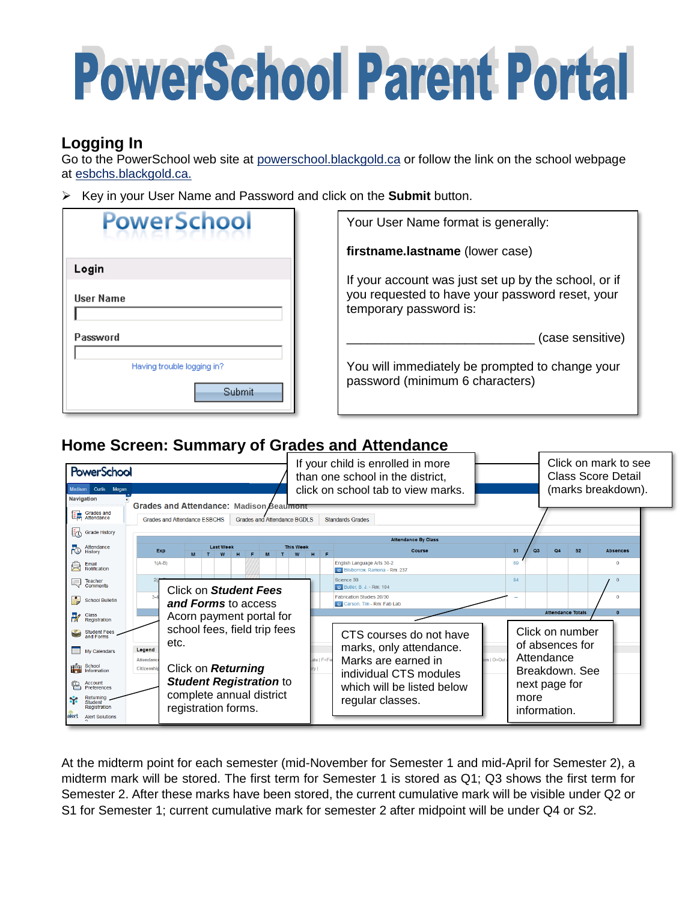# **PowerSchool Parent Portal**

## **Logging In**

Go to the PowerSchool web site at powerschool.blackgold.ca or follow the link on the school webpage at esbchs.blackgold.ca.

Key in your User Name and Password and click on the **Submit** button.

| <b>PowerSchool</b>                          | Your User Name format is generally:                                                                                               |
|---------------------------------------------|-----------------------------------------------------------------------------------------------------------------------------------|
|                                             | firstname.lastname (lower case)                                                                                                   |
| Login<br><b>User Name</b>                   | If your account was just set up by the school, or if<br>you requested to have your password reset, your<br>temporary password is: |
| Password                                    | (case sensitive)                                                                                                                  |
| Having trouble logging in?<br><b>Submit</b> | You will immediately be prompted to change your<br>password (minimum 6 characters)                                                |

# **Home Screen: Summary of Grades and Attendance**



At the midterm point for each semester (mid-November for Semester 1 and mid-April for Semester 2), a midterm mark will be stored. The first term for Semester 1 is stored as Q1; Q3 shows the first term for Semester 2. After these marks have been stored, the current cumulative mark will be visible under Q2 or S1 for Semester 1; current cumulative mark for semester 2 after midpoint will be under Q4 or S2.